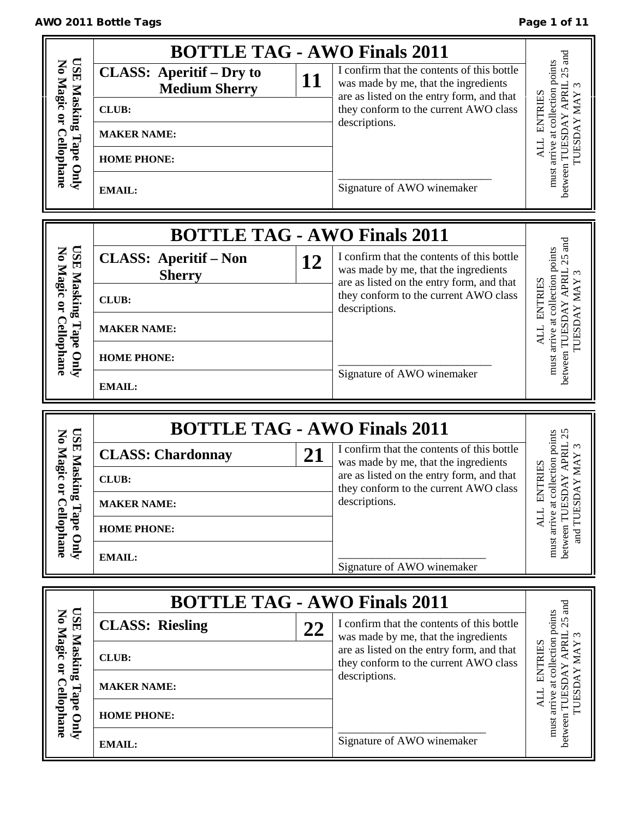# AWO 2011 Bottle Tags **Page 1 of 11**

|                                                 | <b>BOTTLE TAG - AWO Finals 2011</b>                     |    |                                                                                                                                 |                                                                                                                   |
|-------------------------------------------------|---------------------------------------------------------|----|---------------------------------------------------------------------------------------------------------------------------------|-------------------------------------------------------------------------------------------------------------------|
| <b>USE</b><br>No Magic or                       | <b>CLASS: Aperitif – Dry to</b><br><b>Medium Sherry</b> | 11 | I confirm that the contents of this bottle<br>was made by me, that the ingredients<br>are as listed on the entry form, and that | $25$ and<br>must arrive at collection points                                                                      |
|                                                 | <b>CLUB:</b>                                            |    | they conform to the current AWO class                                                                                           | <b>ENTRIES</b>                                                                                                    |
|                                                 | <b>MAKER NAME:</b>                                      |    | descriptions.                                                                                                                   | TUESDAY MAY                                                                                                       |
| Masking Tape Only<br><b>Cellophane</b>          | <b>HOME PHONE:</b>                                      |    |                                                                                                                                 | <b>ALL</b>                                                                                                        |
|                                                 | <b>EMAIL:</b>                                           |    | Signature of AWO winemaker                                                                                                      | between TUESDAY APRIL                                                                                             |
|                                                 | <b>BOTTLE TAG - AWO Finals 2011</b>                     |    |                                                                                                                                 |                                                                                                                   |
| <b>ESE</b><br>No Magic or                       | <b>CLASS: Aperitif - Non</b><br><b>Sherry</b>           | 12 | I confirm that the contents of this bottle<br>was made by me, that the ingredients<br>are as listed on the entry form, and that |                                                                                                                   |
| Masking Tape Only                               | <b>CLUB:</b>                                            |    | they conform to the current AWO class<br>descriptions.                                                                          | between TUESDAY APRIL 25 and<br>arrive at collection points<br><b>ENTRIES</b><br><b>TUESDAY MAY</b><br><b>ALL</b> |
|                                                 | <b>MAKER NAME:</b>                                      |    |                                                                                                                                 |                                                                                                                   |
| Cellophane                                      | <b>HOME PHONE:</b>                                      |    |                                                                                                                                 | must                                                                                                              |
|                                                 | <b>EMAIL:</b>                                           |    | Signature of AWO winemaker                                                                                                      |                                                                                                                   |
|                                                 |                                                         |    |                                                                                                                                 |                                                                                                                   |
|                                                 | <b>BOTTLE TAG - AWO Finals 2011</b>                     |    |                                                                                                                                 |                                                                                                                   |
|                                                 | <b>CLASS: Chardonnay</b>                                | 21 | I confirm that the contents of this bottle                                                                                      | 25<br>$\mathfrak{c}$                                                                                              |
|                                                 | <b>CLUB:</b>                                            |    | was made by me, that the ingredients<br>are as listed on the entry form, and that                                               |                                                                                                                   |
| <b>USE Maskin</b><br>No Magic or                | <b>MAKER NAME:</b>                                      |    | they conform to the current AWO class<br>descriptions.                                                                          | <b>NTRIES</b><br>щ                                                                                                |
|                                                 | <b>HOME PHONE:</b>                                      |    |                                                                                                                                 | <b>ALL</b>                                                                                                        |
| g Tape Only<br>Cellophane                       | <b>EMAIL:</b>                                           |    | Signature of AWO winemaker                                                                                                      | must arrive at collection points<br>between TUESDAY APRIL<br>and TUESDAY MAY                                      |
|                                                 |                                                         |    |                                                                                                                                 |                                                                                                                   |
|                                                 | <b>BOTTLE TAG - AWO Finals 2011</b>                     |    |                                                                                                                                 |                                                                                                                   |
|                                                 | <b>CLASS: Riesling</b>                                  | 22 | I confirm that the contents of this bottle<br>was made by me, that the ingredients                                              |                                                                                                                   |
|                                                 | <b>CLUB:</b>                                            |    | are as listed on the entry form, and that<br>they conform to the current AWO class                                              |                                                                                                                   |
|                                                 | <b>MAKER NAME:</b>                                      |    | descriptions.                                                                                                                   | <b>ENTRIES</b>                                                                                                    |
| USE Masking Tape Only<br>No Magic or Cellophane | <b>HOME PHONE:</b>                                      |    |                                                                                                                                 | between TUESDAY APRIL 25 and<br>must arrive at collection points<br>TUESDAY MAY<br>ALL                            |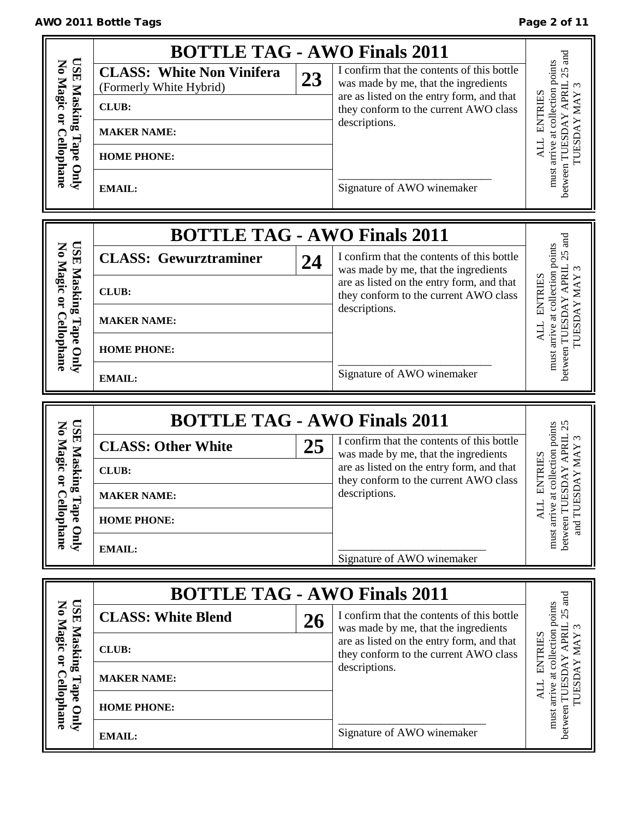|                                                              | <b>BOTTLE TAG - AWO Finals 2011</b>                                                                                                      |    |                                                                                                                                                                                                                         |                                                                                                               |
|--------------------------------------------------------------|------------------------------------------------------------------------------------------------------------------------------------------|----|-------------------------------------------------------------------------------------------------------------------------------------------------------------------------------------------------------------------------|---------------------------------------------------------------------------------------------------------------|
| <b>USE</b><br>No Magic or<br>Masking Tape Only<br>Cellophane | <b>CLASS: White Non Vinifera</b><br>(Formerly White Hybrid)<br><b>CLUB:</b><br><b>MAKER NAME:</b><br><b>HOME PHONE:</b><br><b>EMAIL:</b> | 23 | I confirm that the contents of this bottle<br>was made by me, that the ingredients<br>are as listed on the entry form, and that<br>they conform to the current AWO class<br>descriptions.<br>Signature of AWO winemaker | $25$ and<br>must arrive at collection points<br>between TUESDAY APRIL<br><b>ENTRIES</b><br>TUESDAY MAY<br>ALL |
|                                                              |                                                                                                                                          |    |                                                                                                                                                                                                                         |                                                                                                               |
|                                                              | <b>BOTTLE TAG - AWO Finals 2011</b>                                                                                                      |    |                                                                                                                                                                                                                         |                                                                                                               |
|                                                              | <b>CLASS: Gewurztraminer</b>                                                                                                             | 24 | I confirm that the contents of this bottle<br>was made by me, that the ingredients                                                                                                                                      | $25$ and                                                                                                      |
| <b>USE Masking</b><br>No Magic or                            | <b>CLUB:</b>                                                                                                                             |    | are as listed on the entry form, and that<br>they conform to the current AWO class                                                                                                                                      | must arrive at collection points<br>between TUESDAY APRIL<br><b>ENTRIES</b><br><b>IUESDAY MAY</b>             |
| <b>Cellophane</b><br>Tape Only                               | <b>MAKER NAME:</b>                                                                                                                       |    | descriptions.                                                                                                                                                                                                           |                                                                                                               |
|                                                              | <b>HOME PHONE:</b>                                                                                                                       |    |                                                                                                                                                                                                                         |                                                                                                               |
|                                                              | <b>EMAIL:</b>                                                                                                                            |    | Signature of AWO winemaker                                                                                                                                                                                              |                                                                                                               |
|                                                              |                                                                                                                                          |    |                                                                                                                                                                                                                         |                                                                                                               |
|                                                              |                                                                                                                                          |    |                                                                                                                                                                                                                         |                                                                                                               |
|                                                              | <b>BOTTLE TAG - AWO Finals 2011</b>                                                                                                      |    | I confirm that the contents of this bottle                                                                                                                                                                              | $\infty$                                                                                                      |
|                                                              | <b>CLASS: Other White</b><br><b>CLUB:</b>                                                                                                | 25 | was made by me, that the ingredients<br>are as listed on the entry form, and that                                                                                                                                       |                                                                                                               |
| <b>USE Masking</b><br>No Magic or                            | <b>MAKER NAME:</b>                                                                                                                       |    | they conform to the current AWO class<br>descriptions.                                                                                                                                                                  | <b>ZAN NAY</b><br><b>ENTRIES</b>                                                                              |
|                                                              | <b>HOME PHONE:</b>                                                                                                                       |    |                                                                                                                                                                                                                         | TTK                                                                                                           |
| <b>Cellophane</b><br>Tape Only                               | <b>EMAIL:</b>                                                                                                                            |    |                                                                                                                                                                                                                         | between TUESDAY APRIL 25<br>must arrive at collection points<br>and TUES                                      |
|                                                              |                                                                                                                                          |    | Signature of AWO winemaker                                                                                                                                                                                              |                                                                                                               |
|                                                              | <b>BOTTLE TAG - AWO Finals 2011</b>                                                                                                      |    |                                                                                                                                                                                                                         | and                                                                                                           |
| <b>TSE</b>                                                   | <b>CLASS: White Blend</b>                                                                                                                | 26 | I confirm that the contents of this bottle<br>was made by me, that the ingredients                                                                                                                                      | $\epsilon$                                                                                                    |
|                                                              | <b>CLUB:</b>                                                                                                                             |    | are as listed on the entry form, and that<br>they conform to the current AWO class                                                                                                                                      |                                                                                                               |
| No Magic or                                                  | <b>MAKER NAME:</b>                                                                                                                       |    | descriptions.                                                                                                                                                                                                           | <b>ENTRIES</b>                                                                                                |
| Masking Tape Only<br><b>Cellophane</b>                       | <b>HOME PHONE:</b>                                                                                                                       |    |                                                                                                                                                                                                                         | must arrive at collection points<br>between TUESDAY APRIL 25<br>TUESDAY MAY<br>ALL                            |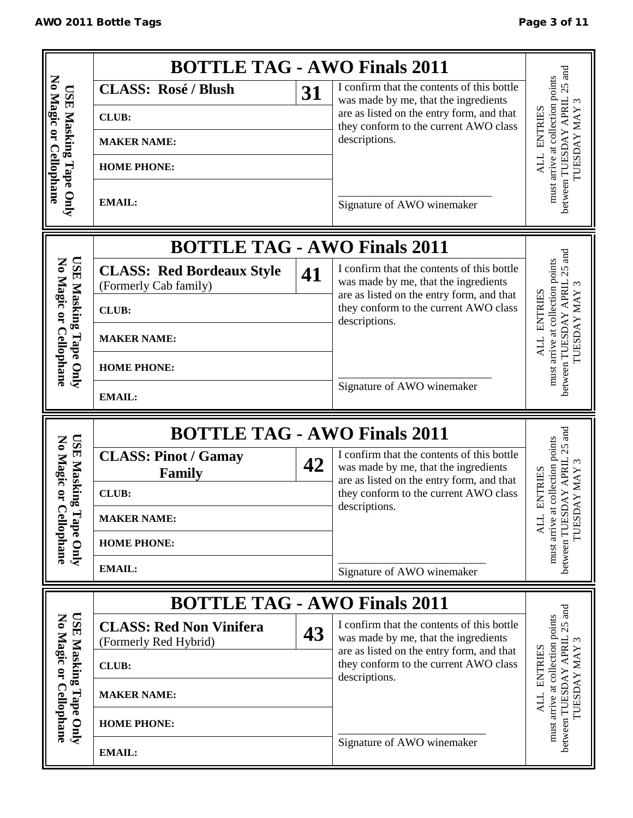|                                                  | <b>BOTTLE TAG - AWO Finals 2011</b>                                |    |                                                                                                                                 |                                                                                                                 |
|--------------------------------------------------|--------------------------------------------------------------------|----|---------------------------------------------------------------------------------------------------------------------------------|-----------------------------------------------------------------------------------------------------------------|
|                                                  | <b>CLASS: Rosé / Blush</b>                                         | 31 | I confirm that the contents of this bottle                                                                                      | $25$ and                                                                                                        |
|                                                  | <b>CLUB:</b>                                                       |    | was made by me, that the ingredients<br>are as listed on the entry form, and that                                               | must arrive at collection points<br>between TUESDAY APRIL<br>$\omega$<br><b>ENTRIES</b><br>TUESDAY MAY          |
|                                                  |                                                                    |    | they conform to the current AWO class<br>descriptions.                                                                          |                                                                                                                 |
|                                                  | <b>MAKER NAME:</b>                                                 |    |                                                                                                                                 |                                                                                                                 |
| No Magic or Cellophane                           | <b>HOME PHONE:</b>                                                 |    |                                                                                                                                 |                                                                                                                 |
| USE Masking Tape Only                            | <b>EMAIL:</b>                                                      |    | Signature of AWO winemaker                                                                                                      |                                                                                                                 |
|                                                  | <b>BOTTLE TAG - AWO Finals 2011</b>                                |    |                                                                                                                                 |                                                                                                                 |
| <b>USE</b><br>No Magic or                        | <b>CLASS: Red Bordeaux Style</b><br>(Formerly Cab family)          | 41 | I confirm that the contents of this bottle<br>was made by me, that the ingredients<br>are as listed on the entry form, and that |                                                                                                                 |
| <b>Masking</b><br><b>Cellophane</b><br>Tape Only | <b>CLUB:</b>                                                       |    | they conform to the current AWO class                                                                                           | between TUESDAY APRIL 25 and<br>must arrive at collection points<br><b>ENTRIES</b><br><b>TUESDAY MAY</b><br>ALL |
|                                                  | <b>MAKER NAME:</b>                                                 |    | descriptions.                                                                                                                   |                                                                                                                 |
|                                                  | <b>HOME PHONE:</b>                                                 |    |                                                                                                                                 |                                                                                                                 |
|                                                  | <b>EMAIL:</b>                                                      |    | Signature of AWO winemaker                                                                                                      |                                                                                                                 |
|                                                  |                                                                    |    |                                                                                                                                 |                                                                                                                 |
|                                                  |                                                                    |    |                                                                                                                                 |                                                                                                                 |
|                                                  | <b>BOTTLE TAG - AWO Finals 2011</b><br><b>CLASS: Pinot / Gamay</b> |    | I confirm that the contents of this bottle                                                                                      |                                                                                                                 |
|                                                  | <b>Family</b>                                                      | 42 | was made by me, that the ingredients<br>are as listed on the entry form, and that                                               | $\epsilon$                                                                                                      |
| <b>USE Masking</b><br>No Magic or                | <b>CLUB:</b>                                                       |    | they conform to the current AWO class                                                                                           | <b>ENTRIES</b>                                                                                                  |
| ┍                                                | <b>MAKER NAME:</b>                                                 |    | descriptions.                                                                                                                   |                                                                                                                 |
|                                                  | <b>HOME PHONE:</b>                                                 |    |                                                                                                                                 | TUESDAY MAY<br><b>ALL</b>                                                                                       |
| Cellophane<br>Tape Only                          | <b>EMAIL:</b>                                                      |    | Signature of AWO winemaker                                                                                                      | between TUESDAY APRIL 25 and<br>must arrive at collection points                                                |
|                                                  | <b>BOTTLE TAG - AWO Finals 2011</b>                                |    |                                                                                                                                 |                                                                                                                 |
|                                                  | <b>CLASS: Red Non Vinifera</b><br>(Formerly Red Hybrid)            | 43 | I confirm that the contents of this bottle<br>was made by me, that the ingredients                                              | $.25$ and                                                                                                       |
|                                                  | <b>CLUB:</b>                                                       |    | are as listed on the entry form, and that<br>they conform to the current AWO class                                              |                                                                                                                 |
| No Magic or                                      | <b>MAKER NAME:</b>                                                 |    | descriptions.                                                                                                                   | <b>ENTRIES</b>                                                                                                  |
| <b>USE Masking Tape Only</b><br>Cellophane       | <b>HOME PHONE:</b>                                                 |    |                                                                                                                                 | must arrive at collection points<br>between TUESDAY APRIL<br>TUESDAY MAY<br><b>ALL</b>                          |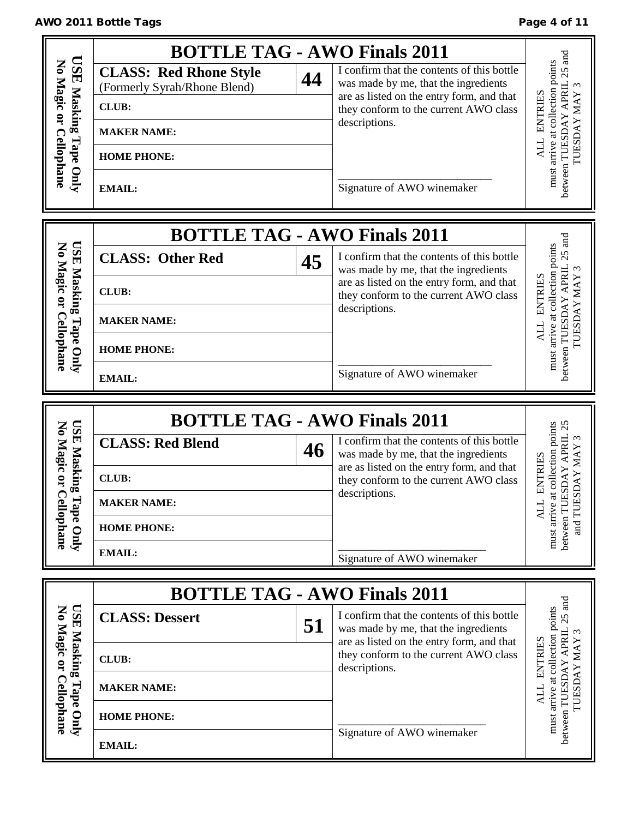# 

|                                                              | <b>BOTTLE TAG - AWO Finals 2011</b>                                                                                                        |    |                                                                                                                                                                                                                         |                                                                                                               |
|--------------------------------------------------------------|--------------------------------------------------------------------------------------------------------------------------------------------|----|-------------------------------------------------------------------------------------------------------------------------------------------------------------------------------------------------------------------------|---------------------------------------------------------------------------------------------------------------|
| <b>CSE</b><br>No Magic or Cellophane<br>Masking<br>Tape Only | <b>CLASS: Red Rhone Style</b><br>(Formerly Syrah/Rhone Blend)<br><b>CLUB:</b><br><b>MAKER NAME:</b><br><b>HOME PHONE:</b><br><b>EMAIL:</b> | 44 | I confirm that the contents of this bottle<br>was made by me, that the ingredients<br>are as listed on the entry form, and that<br>they conform to the current AWO class<br>descriptions.<br>Signature of AWO winemaker | $25$ and<br>must arrive at collection points<br>between TUESDAY APRIL<br>ENTRIES<br><b>IUESDAY MAY</b><br>ALL |
|                                                              | <b>BOTTLE TAG - AWO Finals 2011</b>                                                                                                        |    |                                                                                                                                                                                                                         |                                                                                                               |
| <b>USE Masking</b><br>No Magic or                            | <b>CLASS: Other Red</b><br><b>CLUB:</b>                                                                                                    | 45 | I confirm that the contents of this bottle<br>was made by me, that the ingredients<br>are as listed on the entry form, and that                                                                                         | $25$ and<br>must arrive at collection points<br><b>ENTRIES</b>                                                |
| Cellophane                                                   | <b>MAKER NAME:</b>                                                                                                                         |    | they conform to the current AWO class<br>descriptions.                                                                                                                                                                  | between TUESDAY APRIL<br><b>LOESDAY MAY</b><br>ALL                                                            |
| Tape Only                                                    | <b>HOME PHONE:</b><br><b>EMAIL:</b>                                                                                                        |    | Signature of AWO winemaker                                                                                                                                                                                              |                                                                                                               |
|                                                              |                                                                                                                                            |    |                                                                                                                                                                                                                         |                                                                                                               |
|                                                              |                                                                                                                                            |    |                                                                                                                                                                                                                         |                                                                                                               |
|                                                              | <b>BOTTLE TAG - AWO Finals 2011</b><br><b>CLASS: Red Blend</b>                                                                             | 46 | I confirm that the contents of this bottle<br>was made by me, that the ingredients                                                                                                                                      | $\omega$                                                                                                      |
| No Magic or                                                  | <b>CLUB:</b>                                                                                                                               |    | are as listed on the entry form, and that<br>they conform to the current AWO class                                                                                                                                      |                                                                                                               |
| <b>USE Masking</b><br>┍                                      | <b>MAKER NAME:</b>                                                                                                                         |    | descriptions.                                                                                                                                                                                                           | SDAY APRIL 25<br><b>SDAY MAY</b><br><b>ENTRIES</b>                                                            |
|                                                              | <b>HOME PHONE:</b>                                                                                                                         |    |                                                                                                                                                                                                                         | and TUE<br>ALL                                                                                                |
| Cellophane<br>Tape Only                                      | <b>EMAIL:</b>                                                                                                                              |    | Signature of AWO winemaker                                                                                                                                                                                              | must arrive at collection points<br>between TUE                                                               |
|                                                              |                                                                                                                                            |    |                                                                                                                                                                                                                         |                                                                                                               |
| CSE                                                          | <b>BOTTLE TAG - AWO Finals 2011</b><br><b>CLASS: Dessert</b>                                                                               | 51 | I confirm that the contents of this bottle<br>was made by me, that the ingredients                                                                                                                                      |                                                                                                               |
|                                                              | <b>CLUB:</b>                                                                                                                               |    | are as listed on the entry form, and that<br>they conform to the current AWO class                                                                                                                                      |                                                                                                               |
|                                                              | <b>MAKER NAME:</b>                                                                                                                         |    | descriptions.                                                                                                                                                                                                           | ENTRIES                                                                                                       |
| No Magic or Cellophane<br>Masking Tape Only                  | <b>HOME PHONE:</b>                                                                                                                         |    | Signature of AWO winemaker                                                                                                                                                                                              | between TUESDAY APRIL 25 and<br>must arrive at collection points<br>TUESDAY MAY                               |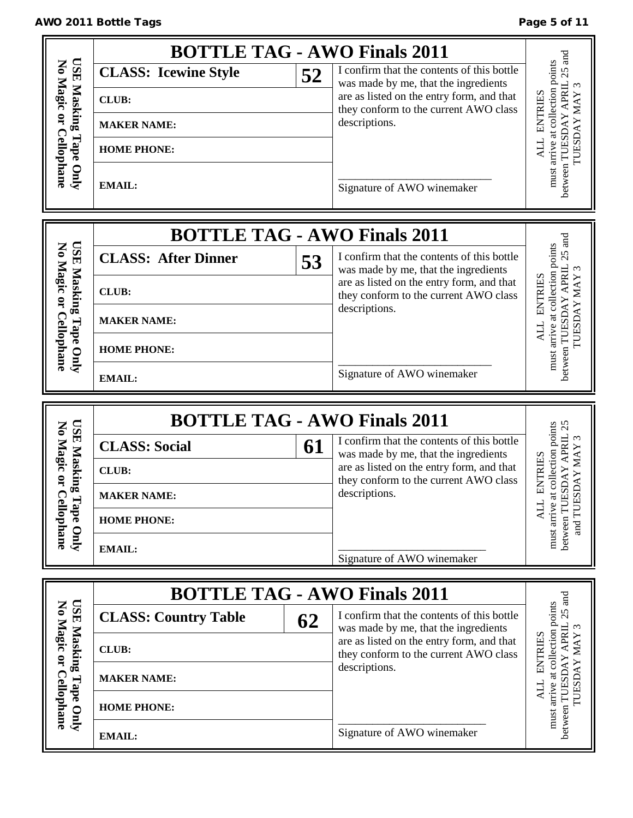|                                                        |                             |    | <b>BOTTLE TAG - AWO Finals 2011</b>                                                |                                                                                                   |
|--------------------------------------------------------|-----------------------------|----|------------------------------------------------------------------------------------|---------------------------------------------------------------------------------------------------|
| <b>TSE</b>                                             | <b>CLASS: Icewine Style</b> | 52 | I confirm that the contents of this bottle<br>was made by me, that the ingredients | $25$ and                                                                                          |
| No Magic<br>Masking                                    | <b>CLUB:</b>                |    | are as listed on the entry form, and that                                          | $\ensuremath{\text{MAX}}$                                                                         |
| $\ddot{a}$                                             | <b>MAKER NAME:</b>          |    | they conform to the current AWO class<br>descriptions.                             | <b>ENTRIES</b>                                                                                    |
|                                                        |                             |    |                                                                                    | must arrive at collection points<br>between TUESDAY APRIL<br>TUESDAY                              |
|                                                        | <b>HOME PHONE:</b>          |    |                                                                                    | ALL                                                                                               |
| <b>Cellophane</b><br>Tape Only                         | <b>EMAIL:</b>               |    | Signature of AWO winemaker                                                         |                                                                                                   |
|                                                        |                             |    |                                                                                    |                                                                                                   |
|                                                        |                             |    |                                                                                    |                                                                                                   |
|                                                        |                             |    | <b>BOTTLE TAG - AWO Finals 2011</b>                                                | $25$ and                                                                                          |
|                                                        | <b>CLASS: After Dinner</b>  | 53 | I confirm that the contents of this bottle<br>was made by me, that the ingredients | $\omega$                                                                                          |
| No Magic or                                            | <b>CLUB:</b>                |    | are as listed on the entry form, and that<br>they conform to the current AWO class | must arrive at collection points<br>between TUESDAY APRIL<br><b>ENTRIES</b><br><b>LOESDAY MAY</b> |
|                                                        | <b>MAKER NAME:</b>          |    | descriptions.                                                                      |                                                                                                   |
| <b>USE Masking Tape Only</b><br><b>Cellophane</b>      |                             |    |                                                                                    |                                                                                                   |
|                                                        | <b>HOME PHONE:</b>          |    |                                                                                    |                                                                                                   |
|                                                        | <b>EMAIL:</b>               |    | Signature of AWO winemaker                                                         |                                                                                                   |
|                                                        |                             |    |                                                                                    |                                                                                                   |
|                                                        |                             |    |                                                                                    |                                                                                                   |
|                                                        |                             |    | <b>BOTTLE TAG - AWO Finals 2011</b>                                                | 25                                                                                                |
|                                                        | <b>CLASS: Social</b>        | 61 | I confirm that the contents of this bottle<br>was made by me, that the ingredients |                                                                                                   |
|                                                        | <b>CLUB:</b>                |    | are as listed on the entry form, and that                                          | $\ensuremath{\text{MAX}}$                                                                         |
| <b>USE Masking</b><br>No Magic or                      | <b>MAKER NAME:</b>          |    | they conform to the current AWO class<br>descriptions.                             | collection points<br><b>ENTRIES</b><br><b>AVC</b>                                                 |
|                                                        | <b>HOME PHONE:</b>          |    |                                                                                    | <b>ALL</b>                                                                                        |
| Cellophane<br>Tape Only                                |                             |    |                                                                                    | between TUESDAY APRIL<br>must arrive at<br>and TUES                                               |
|                                                        | <b>EMAIL:</b>               |    | Signature of AWO winemaker                                                         |                                                                                                   |
|                                                        |                             |    |                                                                                    |                                                                                                   |
|                                                        | <b>CLASS: Country Table</b> |    | <b>BOTTLE TAG - AWO Finals 2011</b><br>I confirm that the contents of this bottle  |                                                                                                   |
|                                                        |                             | 62 | was made by me, that the ingredients<br>are as listed on the entry form, and that  |                                                                                                   |
|                                                        | <b>CLUB:</b>                |    | they conform to the current AWO class                                              |                                                                                                   |
|                                                        | <b>MAKER NAME:</b>          |    | descriptions.                                                                      | <b>ENTRIES</b>                                                                                    |
|                                                        | <b>HOME PHONE:</b>          |    |                                                                                    | <b>TUESDAY MAY</b><br>ALL                                                                         |
| <b>USE Masking Tape Only</b><br>No Magic or Cellophane | <b>EMAIL:</b>               |    | Signature of AWO winemaker                                                         | between TUESDAY APRIL 25 and<br>must arrive at collection points                                  |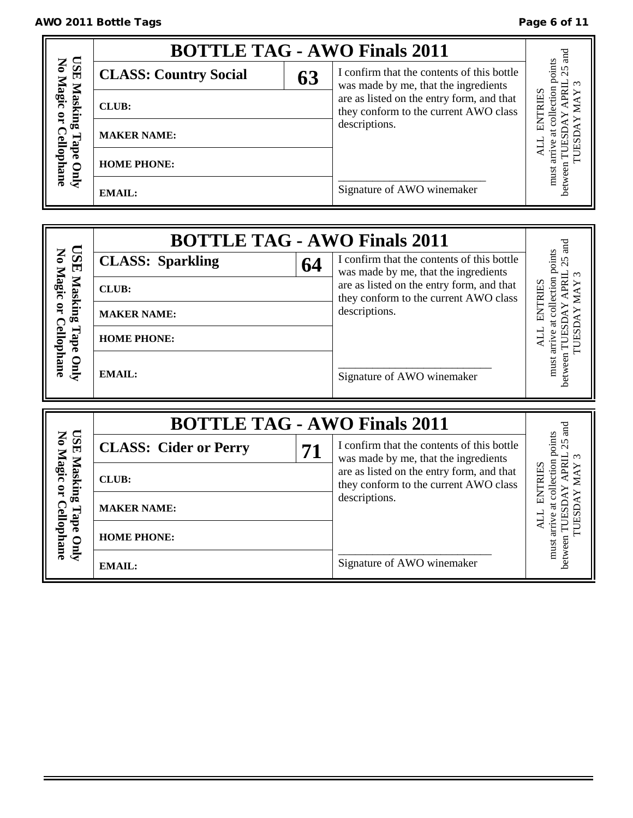|                                              | <b>BOTTLE TAG - AWO Finals 2011</b> |                                                                                    |                                                                                    |                                    |
|----------------------------------------------|-------------------------------------|------------------------------------------------------------------------------------|------------------------------------------------------------------------------------|------------------------------------|
|                                              | <b>CLASS: Country Social</b>        | 63                                                                                 | I confirm that the contents of this bottle<br>was made by me, that the ingredients | points<br>25                       |
| <b>USE Masking</b><br>No Magic or<br>Masking | <b>CLUB:</b>                        | are as listed on the entry form, and that<br>they conform to the current AWO class |                                                                                    | $\overline{\rm s}$<br><b>RILES</b> |
| ⊣                                            | <b>MAKER NAME:</b>                  |                                                                                    | descriptions.                                                                      | À                                  |
| Cellophane<br>ape<br>Quly                    | <b>HOME PHONE:</b>                  |                                                                                    |                                                                                    | must                               |
|                                              | EMAIL:                              |                                                                                    | Signature of AWO winemaker                                                         |                                    |

|                                               | <b>BOTTLE TAG - AWO Finals 2011</b> |    |                                                                                                                            | and                                                                             |
|-----------------------------------------------|-------------------------------------|----|----------------------------------------------------------------------------------------------------------------------------|---------------------------------------------------------------------------------|
| <b>USE</b>                                    | <b>CLASS: Sparkling</b>             | 64 | I confirm that the contents of this bottle<br>was made by me, that the ingredients                                         | 25                                                                              |
| Masking                                       | <b>CLUB:</b>                        |    | are as listed on the entry form, and that<br>they conform to the current AWO class                                         | must arrive at collection points<br>APRIL<br>ENTRIES                            |
|                                               | <b>MAKER NAME:</b>                  |    | descriptions.                                                                                                              |                                                                                 |
| Tape                                          | <b>HOME PHONE:</b>                  |    |                                                                                                                            | TUESDAY MAY                                                                     |
| No Magic or Cellophane<br>Only                | <b>EMAIL:</b>                       |    | Signature of AWO winemaker                                                                                                 | between TUESDAY                                                                 |
|                                               |                                     |    |                                                                                                                            |                                                                                 |
|                                               | <b>BOTTLE TAG - AWO Finals 2011</b> |    |                                                                                                                            |                                                                                 |
| <b>ESE</b>                                    | <b>CLASS: Cider or Perry</b>        | 71 | I confirm that the contents of this bottle                                                                                 | $_{\rm ad}$<br>25<br>$\tilde{\phantom{0}}$                                      |
|                                               | <b>CLUB:</b>                        |    | was made by me, that the ingredients<br>are as listed on the entry form, and that<br>they conform to the current AWO class | APRIL                                                                           |
| <b>Masking</b>                                | <b>MAKER NAME:</b>                  |    | descriptions.                                                                                                              | ENTRIES                                                                         |
| No Magic or Cellophane<br>Tape<br><b>Only</b> | <b>HOME PHONE:</b>                  |    |                                                                                                                            | must arrive at collection points<br><b>TUESDAY MAY</b><br>between TUESDAY<br>Цk |

| $\mathbf{z}$<br>禸 | <b>CLASS: Cider or Perry</b> | 71 |
|-------------------|------------------------------|----|
| $\mathbf{a}$      | <b>CLUB:</b>                 |    |
| œ<br>₾            | <b>MAKER NAME:</b>           |    |
|                   | <b>HOME PHONE:</b>           |    |
|                   |                              |    |

| was made by me, that the ingredients      |
|-------------------------------------------|
| are as listed on the entry form, and that |
| they conform to the current AWO class     |
| descriptions.                             |
|                                           |
|                                           |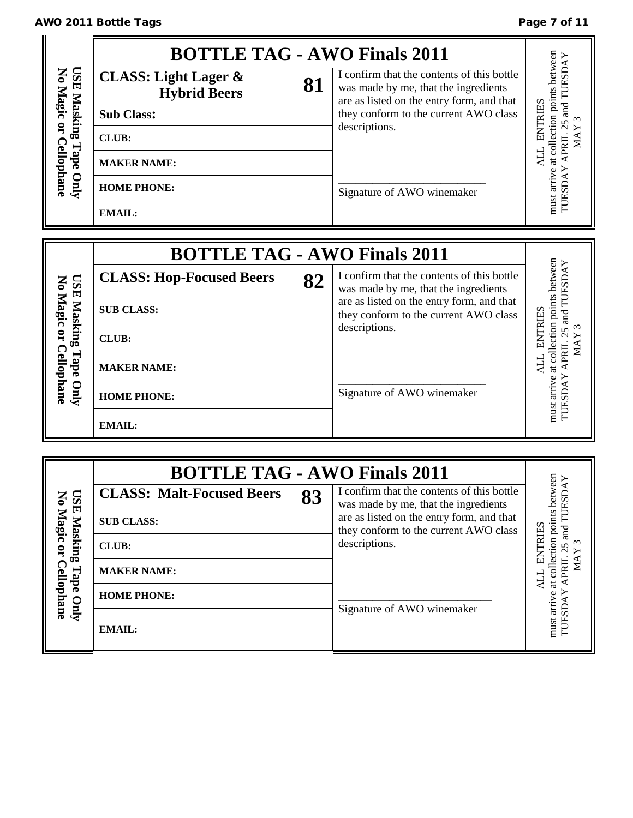# AWO 2011 Bottle Tags **Page 7 of 11**

|                                         | <b>BOTTLE TAG - AWO Finals 2011</b>                    |    |                                                                                                                                 |                         |
|-----------------------------------------|--------------------------------------------------------|----|---------------------------------------------------------------------------------------------------------------------------------|-------------------------|
| TST<br>$\mathbf{S}$<br>Magic<br>Masking | <b>CLASS: Light Lager &amp;</b><br><b>Hybrid Beers</b> | 81 | I confirm that the contents of this bottle<br>was made by me, that the ingredients<br>are as listed on the entry form, and that | points between<br>TUESD |
|                                         | <b>Sub Class:</b>                                      |    | they conform to the current AWO class                                                                                           | ENTRIES<br>ರ<br>g       |
| å                                       | <b>CLUB:</b>                                           |    | descriptions.                                                                                                                   | JRI                     |
| Tape                                    | <b>MAKER NAME:</b>                                     |    |                                                                                                                                 | $\sharp$                |
| Cellophane<br>Quly                      | <b>HOME PHONE:</b>                                     |    | Signature of AWO winemaker                                                                                                      | arrive<br>SD            |
|                                         | <b>EMAIL:</b>                                          |    |                                                                                                                                 | TUE<br>must             |

|                           | <b>BOTTLE TAG - AWO Finals 2011</b> |    |                                                                                    |                                   |
|---------------------------|-------------------------------------|----|------------------------------------------------------------------------------------|-----------------------------------|
|                           | <b>CLASS: Hop-Focused Beers</b>     | 82 | I confirm that the contents of this bottle<br>was made by me, that the ingredients | between                           |
| USE Mask<br>No Magic      | <b>SUB CLASS:</b>                   |    | are as listed on the entry form, and that<br>they conform to the current AWO class | ion points<br><b>TRIES</b><br>and |
| Masking<br>$\mathbf{q}$   | <b>CLUB:</b>                        |    | descriptions.                                                                      | ∞                                 |
| <b>Cellophane</b><br>Tape | <b>MAKER NAME:</b>                  |    |                                                                                    | ಕ                                 |
| Quly                      | <b>HOME PHONE:</b>                  |    | Signature of AWO winemaker                                                         | arriv                             |
|                           | <b>EMAIL:</b>                       |    |                                                                                    | must                              |

|                                      | <b>BOTTLE TAG - AWO Finals 2011</b> |    |                                                                                                                                                                          |                                                                     |
|--------------------------------------|-------------------------------------|----|--------------------------------------------------------------------------------------------------------------------------------------------------------------------------|---------------------------------------------------------------------|
| <b>USE</b><br>No Magic or<br>Masking | <b>CLASS: Malt-Focused Beers</b>    | 83 | I confirm that the contents of this bottle<br>was made by me, that the ingredients<br>are as listed on the entry form, and that<br>they conform to the current AWO class | between<br>ESD<br>ints<br><b>RIES</b><br>ou bo:<br>व<br>ह<br>$\sim$ |
|                                      | <b>SUB CLASS:</b>                   |    |                                                                                                                                                                          |                                                                     |
|                                      | <b>CLUB:</b>                        |    | descriptions.                                                                                                                                                            |                                                                     |
| <b>Cellophane</b><br>Tape            | <b>MAKER NAME:</b>                  |    |                                                                                                                                                                          |                                                                     |
| Quly                                 | <b>HOME PHONE:</b>                  |    | Signature of AWO winemaker                                                                                                                                               | arriv                                                               |
|                                      | <b>EMAIL:</b>                       |    |                                                                                                                                                                          | TUESE<br>must                                                       |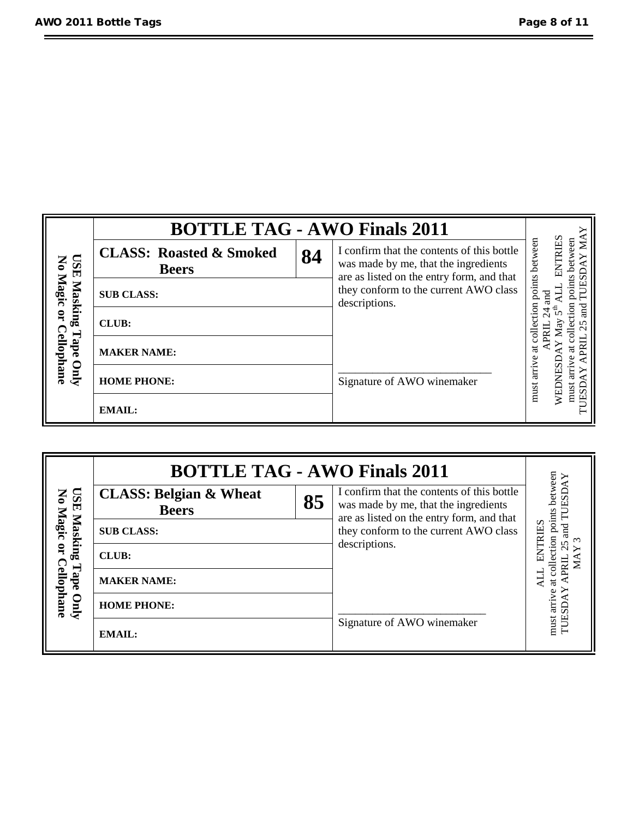|                               | <b>BOTTLE TAG - AWO Finals 2011</b>                |    |                                                                                                                                                                                           |                                |                         |
|-------------------------------|----------------------------------------------------|----|-------------------------------------------------------------------------------------------------------------------------------------------------------------------------------------------|--------------------------------|-------------------------|
| No Magic or<br>ISE<br>Masking | <b>CLASS: Roasted &amp; Smoked</b><br><b>Beers</b> | 84 | I confirm that the contents of this bottle<br>was made by me, that the ingredients<br>are as listed on the entry form, and that<br>they conform to the current AWO class<br>descriptions. | points between<br>$_{\rm rad}$ | ENTRIES<br>≅<br>Ω       |
|                               | <b>SUB CLASS:</b>                                  |    |                                                                                                                                                                                           |                                | ints                    |
| ⊂                             | <b>CLUB:</b>                                       |    |                                                                                                                                                                                           | Ξ                              | व<br>व                  |
| Tape<br>ellophane             | <b>MAKER NAME:</b>                                 |    |                                                                                                                                                                                           | ಡ                              | ಡ                       |
| $\Omega$                      | <b>HOME PHONE:</b>                                 |    | Signature of AWO winemaker                                                                                                                                                                | must arrive                    | VEDNESI<br>must<br>JESD |
|                               | <b>EMAIL:</b>                                      |    |                                                                                                                                                                                           |                                |                         |

|                               | <b>BOTTLE TAG - AWO Finals 2011</b>               |    |                                                                                                                                                                          |                                                         |
|-------------------------------|---------------------------------------------------|----|--------------------------------------------------------------------------------------------------------------------------------------------------------------------------|---------------------------------------------------------|
| ESE<br>No Magic or<br>Masking | <b>CLASS: Belgian &amp; Wheat</b><br><b>Beers</b> | 85 | I confirm that the contents of this bottle<br>was made by me, that the ingredients<br>are as listed on the entry form, and that<br>they conform to the current AWO class | tion points between<br><b>TRIJES</b><br>and<br>$\omega$ |
|                               | <b>SUB CLASS:</b>                                 |    |                                                                                                                                                                          |                                                         |
|                               | <b>CLUB:</b>                                      |    | descriptions.                                                                                                                                                            |                                                         |
| Tape                          | <b>MAKER NAME:</b>                                |    |                                                                                                                                                                          | 7<br>ಡ                                                  |
| <b>Cellophane</b><br>Quly     | <b>HOME PHONE:</b>                                |    |                                                                                                                                                                          | arriv<br>SD                                             |
|                               | <b>EMAIL:</b>                                     |    | Signature of AWO winemaker                                                                                                                                               | TUE.<br>must                                            |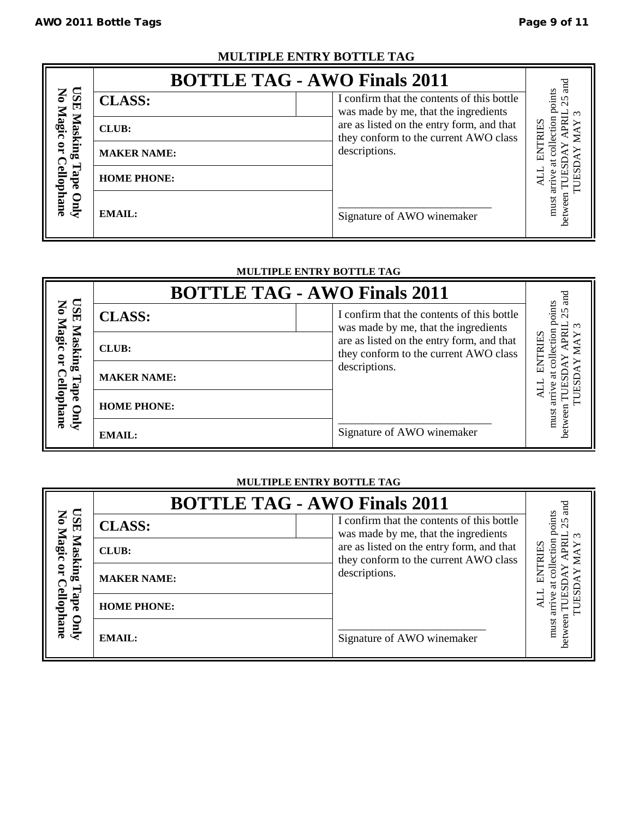# **MULTIPLE ENTRY BOTTLE TAG**

|                                                  | <b>BOTTLE TAG - AWO Finals 2011</b> |                                                                                    |                    |
|--------------------------------------------------|-------------------------------------|------------------------------------------------------------------------------------|--------------------|
| TSSD<br>$\mathbf{S}$<br>$\overline{\phantom{0}}$ | <b>CLASS:</b>                       | I confirm that the contents of this bottle<br>was made by me, that the ingredients | oints<br>25        |
| lagi<br>Masking                                  | CLUB:                               | are as listed on the entry form, and that<br>they conform to the current AWO class | ទ<br><b>TRIIES</b> |
| $\overline{a}$                                   | <b>MAKER NAME:</b>                  | descriptions.                                                                      | 5<br>6             |
| ٩ě                                               | <b>HOME PHONE:</b>                  |                                                                                    |                    |
| ellophane<br>Vnly                                | EMAIL:                              | Signature of AWO winemaker                                                         | etwee<br>must      |

### **MULTIPLE ENTRY BOTTLE TAG**

|                                                                              | MULIIPLE ENIKY BOITLE TAG           |                                                                                    |             |  |  |  |
|------------------------------------------------------------------------------|-------------------------------------|------------------------------------------------------------------------------------|-------------|--|--|--|
|                                                                              | <b>BOTTLE TAG - AWO Finals 2011</b> |                                                                                    | ਰੂ          |  |  |  |
| <b>TSE</b><br>ー<br>$\mathbf{q}_{\mathbf{a}\mathbf{g}}$<br>Masking<br>ب<br>gp | <b>CLASS:</b>                       | I confirm that the contents of this bottle<br>was made by me, that the ingredients | oints<br>25 |  |  |  |
|                                                                              | <b>CLUB:</b>                        | are as listed on the entry form, and that<br>they conform to the current AWO class | TRIJES      |  |  |  |
|                                                                              | <b>MAKER NAME:</b>                  | descriptions.                                                                      |             |  |  |  |
| ellophane<br>Qurly                                                           | <b>HOME PHONE:</b>                  |                                                                                    | must        |  |  |  |
|                                                                              | <b>EMAIL:</b>                       | Signature of AWO winemaker                                                         | twee        |  |  |  |

# **MULTIPLE ENTRY BOTTLE TAG**

|                         |                    | <b>BOTTLE TAG - AWO Finals 2011</b>                                                | ਬੁ                    |
|-------------------------|--------------------|------------------------------------------------------------------------------------|-----------------------|
| ESD                     | <b>CLASS:</b>      | I confirm that the contents of this bottle<br>was made by me, that the ingredients | oints<br>5            |
| No Magic<br>Masking     | <b>CLUB:</b>       | are as listed on the entry form, and that<br>they conform to the current AWO class | $_{\rm{non}}$<br>RIES |
| $\overline{\mathbf{a}}$ | <b>MAKER NAME:</b> | descriptions.                                                                      |                       |
| Cellophane<br>Dape      | <b>HOME PHONE:</b> |                                                                                    |                       |
| $\sum_{i=1}^{n}$        | EMAIL:             | Signature of AWO winemaker                                                         | must                  |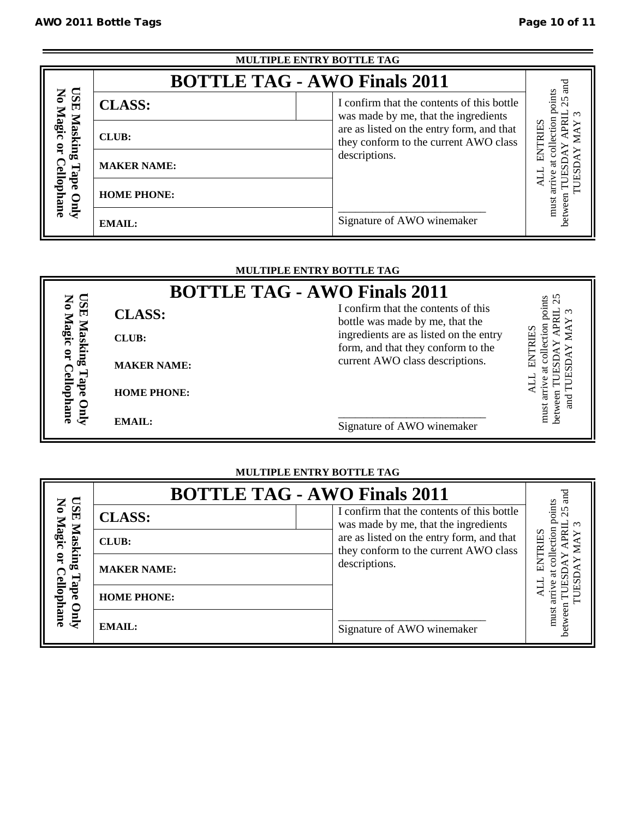| MULTIPLE ENTRY BOTTLE TAG       |                                     |                                                                                                     |                              |  |
|---------------------------------|-------------------------------------|-----------------------------------------------------------------------------------------------------|------------------------------|--|
|                                 | <b>BOTTLE TAG - AWO Finals 2011</b> |                                                                                                     | ದ                            |  |
| ESE<br>No Magic                 | <b>CLASS:</b>                       | I confirm that the contents of this bottle<br>was made by me, that the ingredients                  | points<br>5                  |  |
| Masking<br>$\mathbf{q}$<br>Tape | <b>CLUB:</b>                        | are as listed on the entry form, and that<br>they conform to the current AWO class<br>descriptions. | ction<br>RIES<br>E<br>E<br>E |  |
|                                 | <b>MAKER NAME:</b>                  |                                                                                                     |                              |  |
| <b>Cellophane</b><br>0          | <b>HOME PHONE:</b>                  |                                                                                                     | must                         |  |
| $\overline{A}$                  | <b>EMAIL:</b>                       | Signature of AWO winemaker                                                                          | etwee                        |  |

## **MULTIPLE ENTRY BOTTLE TAG**

|                    |                    | <b>BOTTLE TAG - AWO Finals 2011</b>                                          | 25              |
|--------------------|--------------------|------------------------------------------------------------------------------|-----------------|
| CSE                | <b>CLASS:</b>      | I confirm that the contents of this<br>bottle was made by me, that the       | ounts<br>$\sim$ |
| Magic<br>$\Delta$  | <b>CLUB:</b>       | ingredients are as listed on the entry<br>form, and that they conform to the | RIES            |
| $\mathbf{Q}$<br>αĒ | <b>MAKER NAME:</b> | current AWO class descriptions.                                              |                 |
| ellophane<br>ade   | <b>HOME PHONE:</b> |                                                                              | ਬੁ              |
| $\mathbf{C}$       | <b>EMAIL:</b>      | Signature of AWO winemaker                                                   | Ř<br>must       |

# **MULTIPLE ENTRY BOTTLE TAG**

|                        | <b>BOTTLE TAG - AWO Finals 2011</b> |                                                                                    |                |  |
|------------------------|-------------------------------------|------------------------------------------------------------------------------------|----------------|--|
| <b>TSE</b><br>No Magic | <b>CLASS:</b>                       | I confirm that the contents of this bottle<br>was made by me, that the ingredients | oints          |  |
| Masking                | <b>CLUB:</b>                        | are as listed on the entry form, and that<br>they conform to the current AWO class | ction<br>TRIES |  |
| $\mathbf{q}$           | <b>MAKER NAME:</b>                  | descriptions.                                                                      |                |  |
| Cellophane<br>Tape     | <b>HOME PHONE:</b>                  |                                                                                    |                |  |
| Quly                   | <b>EMAIL:</b>                       | Signature of AWO winemaker                                                         | must           |  |